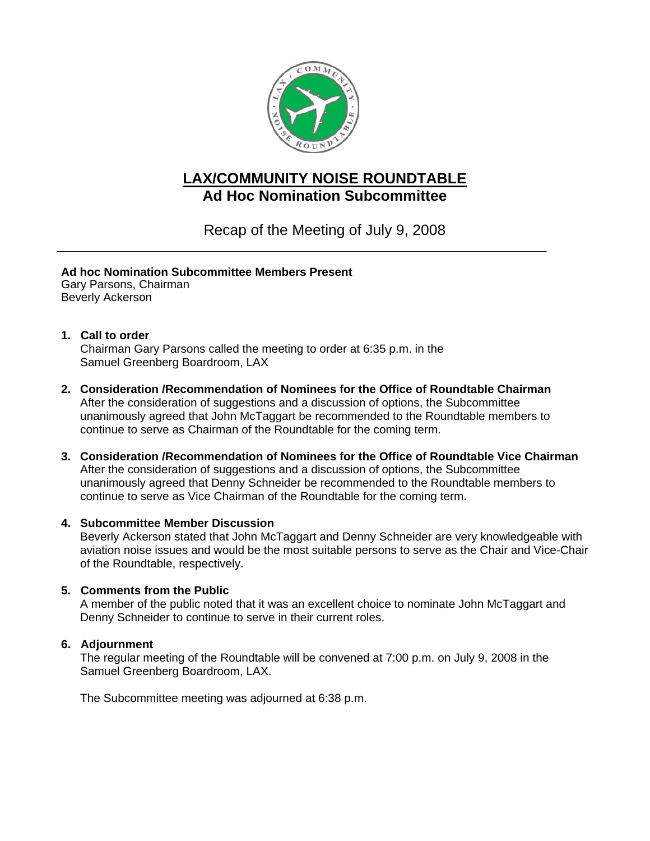

# **LAX/COMMUNITY NOISE ROUNDTABLE Ad Hoc Nomination Subcommittee**

Recap of the Meeting of July 9, 2008

## **Ad hoc Nomination Subcommittee Members Present**

Gary Parsons, Chairman Beverly Ackerson

### **1. Call to order**

Chairman Gary Parsons called the meeting to order at 6:35 p.m. in the Samuel Greenberg Boardroom, LAX

- **2. Consideration /Recommendation of Nominees for the Office of Roundtable Chairman**  After the consideration of suggestions and a discussion of options, the Subcommittee unanimously agreed that John McTaggart be recommended to the Roundtable members to continue to serve as Chairman of the Roundtable for the coming term.
- **3. Consideration /Recommendation of Nominees for the Office of Roundtable Vice Chairman**  After the consideration of suggestions and a discussion of options, the Subcommittee unanimously agreed that Denny Schneider be recommended to the Roundtable members to continue to serve as Vice Chairman of the Roundtable for the coming term.

#### **4. Subcommittee Member Discussion**

Beverly Ackerson stated that John McTaggart and Denny Schneider are very knowledgeable with aviation noise issues and would be the most suitable persons to serve as the Chair and Vice-Chair of the Roundtable, respectively.

#### **5. Comments from the Public**

A member of the public noted that it was an excellent choice to nominate John McTaggart and Denny Schneider to continue to serve in their current roles.

#### **6. Adjournment**

The regular meeting of the Roundtable will be convened at 7:00 p.m. on July 9, 2008 in the Samuel Greenberg Boardroom, LAX.

The Subcommittee meeting was adjourned at 6:38 p.m.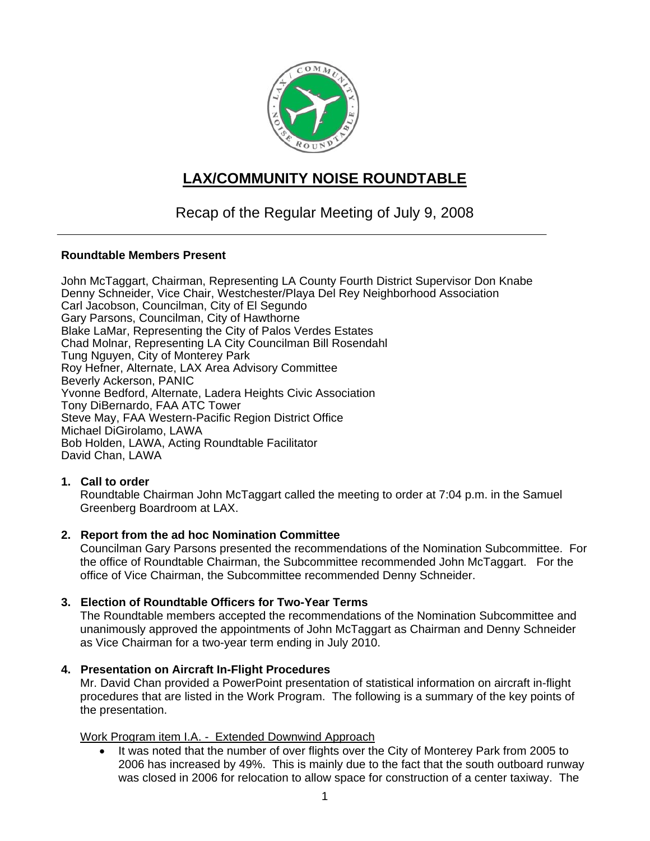

# **LAX/COMMUNITY NOISE ROUNDTABLE**

# Recap of the Regular Meeting of July 9, 2008

#### **Roundtable Members Present**

John McTaggart, Chairman, Representing LA County Fourth District Supervisor Don Knabe Denny Schneider, Vice Chair, Westchester/Playa Del Rey Neighborhood Association Carl Jacobson, Councilman, City of El Segundo Gary Parsons, Councilman, City of Hawthorne Blake LaMar, Representing the City of Palos Verdes Estates Chad Molnar, Representing LA City Councilman Bill Rosendahl Tung Nguyen, City of Monterey Park Roy Hefner, Alternate, LAX Area Advisory Committee Beverly Ackerson, PANIC Yvonne Bedford, Alternate, Ladera Heights Civic Association Tony DiBernardo, FAA ATC Tower Steve May, FAA Western-Pacific Region District Office Michael DiGirolamo, LAWA Bob Holden, LAWA, Acting Roundtable Facilitator David Chan, LAWA

#### **1. Call to order**

Roundtable Chairman John McTaggart called the meeting to order at 7:04 p.m. in the Samuel Greenberg Boardroom at LAX.

#### **2. Report from the ad hoc Nomination Committee**

Councilman Gary Parsons presented the recommendations of the Nomination Subcommittee. For the office of Roundtable Chairman, the Subcommittee recommended John McTaggart. For the office of Vice Chairman, the Subcommittee recommended Denny Schneider.

#### **3. Election of Roundtable Officers for Two-Year Terms**

The Roundtable members accepted the recommendations of the Nomination Subcommittee and unanimously approved the appointments of John McTaggart as Chairman and Denny Schneider as Vice Chairman for a two-year term ending in July 2010.

#### **4. Presentation on Aircraft In-Flight Procedures**

Mr. David Chan provided a PowerPoint presentation of statistical information on aircraft in-flight procedures that are listed in the Work Program. The following is a summary of the key points of the presentation.

#### Work Program item I.A. - Extended Downwind Approach

It was noted that the number of over flights over the City of Monterey Park from 2005 to 2006 has increased by 49%. This is mainly due to the fact that the south outboard runway was closed in 2006 for relocation to allow space for construction of a center taxiway. The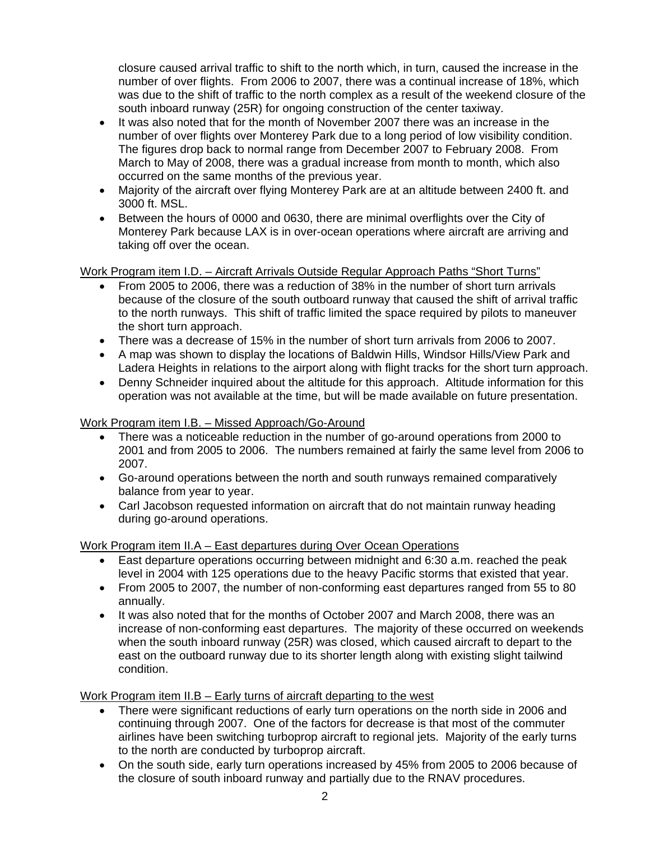closure caused arrival traffic to shift to the north which, in turn, caused the increase in the number of over flights. From 2006 to 2007, there was a continual increase of 18%, which was due to the shift of traffic to the north complex as a result of the weekend closure of the south inboard runway (25R) for ongoing construction of the center taxiway.

- It was also noted that for the month of November 2007 there was an increase in the number of over flights over Monterey Park due to a long period of low visibility condition. The figures drop back to normal range from December 2007 to February 2008. From March to May of 2008, there was a gradual increase from month to month, which also occurred on the same months of the previous year.
- Majority of the aircraft over flying Monterey Park are at an altitude between 2400 ft. and 3000 ft. MSL.
- Between the hours of 0000 and 0630, there are minimal overflights over the City of Monterey Park because LAX is in over-ocean operations where aircraft are arriving and taking off over the ocean.

Work Program item I.D. – Aircraft Arrivals Outside Regular Approach Paths "Short Turns"

- From 2005 to 2006, there was a reduction of 38% in the number of short turn arrivals because of the closure of the south outboard runway that caused the shift of arrival traffic to the north runways. This shift of traffic limited the space required by pilots to maneuver the short turn approach.
- There was a decrease of 15% in the number of short turn arrivals from 2006 to 2007.
- A map was shown to display the locations of Baldwin Hills, Windsor Hills/View Park and Ladera Heights in relations to the airport along with flight tracks for the short turn approach.
- Denny Schneider inquired about the altitude for this approach. Altitude information for this operation was not available at the time, but will be made available on future presentation.

## Work Program item I.B. – Missed Approach/Go-Around

- There was a noticeable reduction in the number of go-around operations from 2000 to 2001 and from 2005 to 2006. The numbers remained at fairly the same level from 2006 to 2007.
- Go-around operations between the north and south runways remained comparatively balance from year to year.
- Carl Jacobson requested information on aircraft that do not maintain runway heading during go-around operations.

Work Program item II.A – East departures during Over Ocean Operations

- East departure operations occurring between midnight and 6:30 a.m. reached the peak level in 2004 with 125 operations due to the heavy Pacific storms that existed that year.
- From 2005 to 2007, the number of non-conforming east departures ranged from 55 to 80 annually.
- It was also noted that for the months of October 2007 and March 2008, there was an increase of non-conforming east departures. The majority of these occurred on weekends when the south inboard runway (25R) was closed, which caused aircraft to depart to the east on the outboard runway due to its shorter length along with existing slight tailwind condition.

Work Program item II.B – Early turns of aircraft departing to the west

- There were significant reductions of early turn operations on the north side in 2006 and continuing through 2007. One of the factors for decrease is that most of the commuter airlines have been switching turboprop aircraft to regional jets. Majority of the early turns to the north are conducted by turboprop aircraft.
- On the south side, early turn operations increased by 45% from 2005 to 2006 because of the closure of south inboard runway and partially due to the RNAV procedures.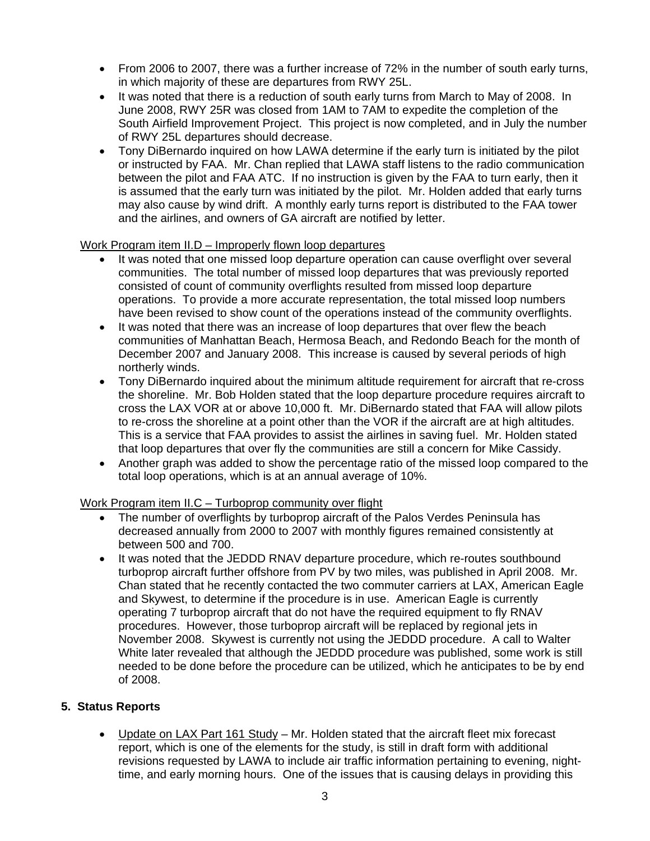- From 2006 to 2007, there was a further increase of 72% in the number of south early turns, in which majority of these are departures from RWY 25L.
- It was noted that there is a reduction of south early turns from March to May of 2008. In June 2008, RWY 25R was closed from 1AM to 7AM to expedite the completion of the South Airfield Improvement Project. This project is now completed, and in July the number of RWY 25L departures should decrease.
- Tony DiBernardo inquired on how LAWA determine if the early turn is initiated by the pilot or instructed by FAA. Mr. Chan replied that LAWA staff listens to the radio communication between the pilot and FAA ATC. If no instruction is given by the FAA to turn early, then it is assumed that the early turn was initiated by the pilot. Mr. Holden added that early turns may also cause by wind drift. A monthly early turns report is distributed to the FAA tower and the airlines, and owners of GA aircraft are notified by letter.

### Work Program item II.D – Improperly flown loop departures

- It was noted that one missed loop departure operation can cause overflight over several communities. The total number of missed loop departures that was previously reported consisted of count of community overflights resulted from missed loop departure operations. To provide a more accurate representation, the total missed loop numbers have been revised to show count of the operations instead of the community overflights.
- It was noted that there was an increase of loop departures that over flew the beach communities of Manhattan Beach, Hermosa Beach, and Redondo Beach for the month of December 2007 and January 2008. This increase is caused by several periods of high northerly winds.
- Tony DiBernardo inquired about the minimum altitude requirement for aircraft that re-cross the shoreline. Mr. Bob Holden stated that the loop departure procedure requires aircraft to cross the LAX VOR at or above 10,000 ft. Mr. DiBernardo stated that FAA will allow pilots to re-cross the shoreline at a point other than the VOR if the aircraft are at high altitudes. This is a service that FAA provides to assist the airlines in saving fuel. Mr. Holden stated that loop departures that over fly the communities are still a concern for Mike Cassidy.
- Another graph was added to show the percentage ratio of the missed loop compared to the total loop operations, which is at an annual average of 10%.

#### Work Program item II.C – Turboprop community over flight

- The number of overflights by turboprop aircraft of the Palos Verdes Peninsula has decreased annually from 2000 to 2007 with monthly figures remained consistently at between 500 and 700.
- It was noted that the JEDDD RNAV departure procedure, which re-routes southbound turboprop aircraft further offshore from PV by two miles, was published in April 2008. Mr. Chan stated that he recently contacted the two commuter carriers at LAX, American Eagle and Skywest, to determine if the procedure is in use. American Eagle is currently operating 7 turboprop aircraft that do not have the required equipment to fly RNAV procedures. However, those turboprop aircraft will be replaced by regional jets in November 2008. Skywest is currently not using the JEDDD procedure. A call to Walter White later revealed that although the JEDDD procedure was published, some work is still needed to be done before the procedure can be utilized, which he anticipates to be by end of 2008.

#### **5. Status Reports**

• Update on LAX Part 161 Study – Mr. Holden stated that the aircraft fleet mix forecast report, which is one of the elements for the study, is still in draft form with additional revisions requested by LAWA to include air traffic information pertaining to evening, nighttime, and early morning hours. One of the issues that is causing delays in providing this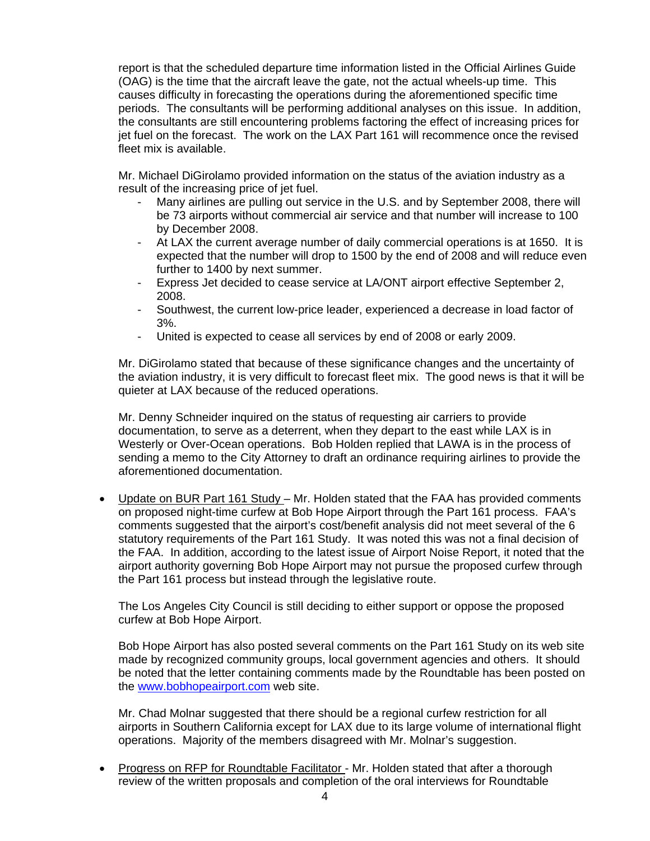report is that the scheduled departure time information listed in the Official Airlines Guide (OAG) is the time that the aircraft leave the gate, not the actual wheels-up time. This causes difficulty in forecasting the operations during the aforementioned specific time periods. The consultants will be performing additional analyses on this issue. In addition, the consultants are still encountering problems factoring the effect of increasing prices for jet fuel on the forecast. The work on the LAX Part 161 will recommence once the revised fleet mix is available.

Mr. Michael DiGirolamo provided information on the status of the aviation industry as a result of the increasing price of jet fuel.

- Many airlines are pulling out service in the U.S. and by September 2008, there will be 73 airports without commercial air service and that number will increase to 100 by December 2008.
- At LAX the current average number of daily commercial operations is at 1650. It is expected that the number will drop to 1500 by the end of 2008 and will reduce even further to 1400 by next summer.
- Express Jet decided to cease service at LA/ONT airport effective September 2, 2008.
- Southwest, the current low-price leader, experienced a decrease in load factor of 3%.
- United is expected to cease all services by end of 2008 or early 2009.

Mr. DiGirolamo stated that because of these significance changes and the uncertainty of the aviation industry, it is very difficult to forecast fleet mix. The good news is that it will be quieter at LAX because of the reduced operations.

Mr. Denny Schneider inquired on the status of requesting air carriers to provide documentation, to serve as a deterrent, when they depart to the east while LAX is in Westerly or Over-Ocean operations. Bob Holden replied that LAWA is in the process of sending a memo to the City Attorney to draft an ordinance requiring airlines to provide the aforementioned documentation.

• Update on BUR Part 161 Study – Mr. Holden stated that the FAA has provided comments on proposed night-time curfew at Bob Hope Airport through the Part 161 process. FAA's comments suggested that the airport's cost/benefit analysis did not meet several of the 6 statutory requirements of the Part 161 Study. It was noted this was not a final decision of the FAA. In addition, according to the latest issue of Airport Noise Report, it noted that the airport authority governing Bob Hope Airport may not pursue the proposed curfew through the Part 161 process but instead through the legislative route.

The Los Angeles City Council is still deciding to either support or oppose the proposed curfew at Bob Hope Airport.

Bob Hope Airport has also posted several comments on the Part 161 Study on its web site made by recognized community groups, local government agencies and others. It should be noted that the letter containing comments made by the Roundtable has been posted on the [www.bobhopeairport.com](http://www.bobhopeairport.com/) web site.

Mr. Chad Molnar suggested that there should be a regional curfew restriction for all airports in Southern California except for LAX due to its large volume of international flight operations. Majority of the members disagreed with Mr. Molnar's suggestion.

• Progress on RFP for Roundtable Facilitator - Mr. Holden stated that after a thorough review of the written proposals and completion of the oral interviews for Roundtable